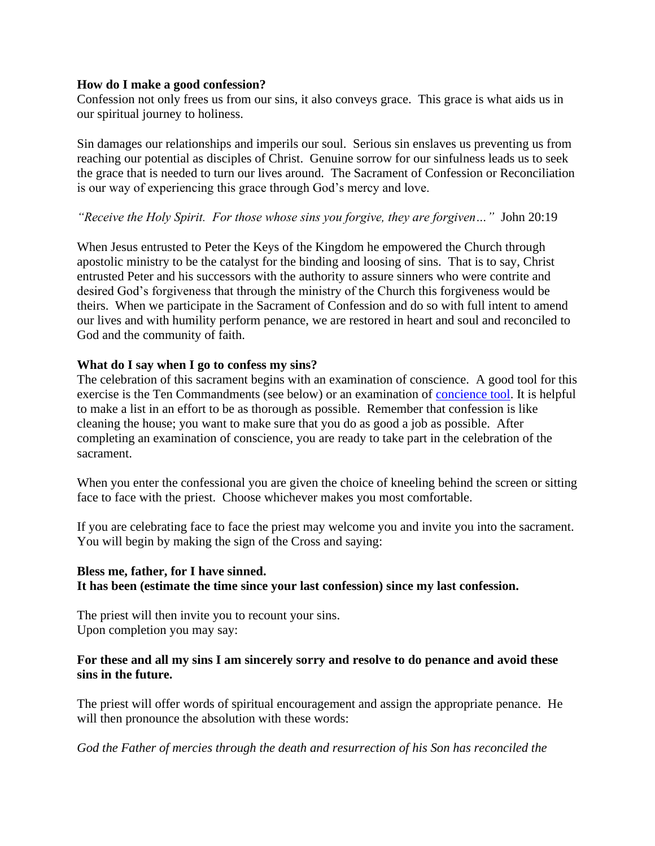#### **How do I make a good confession?**

Confession not only frees us from our sins, it also conveys grace. This grace is what aids us in our spiritual journey to holiness.

Sin damages our relationships and imperils our soul. Serious sin enslaves us preventing us from reaching our potential as disciples of Christ. Genuine sorrow for our sinfulness leads us to seek the grace that is needed to turn our lives around. The Sacrament of Confession or Reconciliation is our way of experiencing this grace through God's mercy and love.

### *"Receive the Holy Spirit. For those whose sins you forgive, they are forgiven…"* John 20:19

When Jesus entrusted to Peter the Keys of the Kingdom he empowered the Church through apostolic ministry to be the catalyst for the binding and loosing of sins. That is to say, Christ entrusted Peter and his successors with the authority to assure sinners who were contrite and desired God's forgiveness that through the ministry of the Church this forgiveness would be theirs. When we participate in the Sacrament of Confession and do so with full intent to amend our lives and with humility perform penance, we are restored in heart and soul and reconciled to God and the community of faith.

### **What do I say when I go to confess my sins?**

The celebration of this sacrament begins with an examination of conscience. A good tool for this exercise is the Ten Commandments (see below) or an examination of [concience tool.](http://www.usccb.org/prayer-and-worship/sacraments-and-sacramentals/penance/examinations-of-conscience.cfm) It is helpful to make a list in an effort to be as thorough as possible. Remember that confession is like cleaning the house; you want to make sure that you do as good a job as possible. After completing an examination of conscience, you are ready to take part in the celebration of the sacrament.

When you enter the confessional you are given the choice of kneeling behind the screen or sitting face to face with the priest. Choose whichever makes you most comfortable.

If you are celebrating face to face the priest may welcome you and invite you into the sacrament. You will begin by making the sign of the Cross and saying:

### **Bless me, father, for I have sinned.**

**It has been (estimate the time since your last confession) since my last confession.**

The priest will then invite you to recount your sins. Upon completion you may say:

### **For these and all my sins I am sincerely sorry and resolve to do penance and avoid these sins in the future.**

The priest will offer words of spiritual encouragement and assign the appropriate penance. He will then pronounce the absolution with these words:

*God the Father of mercies through the death and resurrection of his Son has reconciled the*